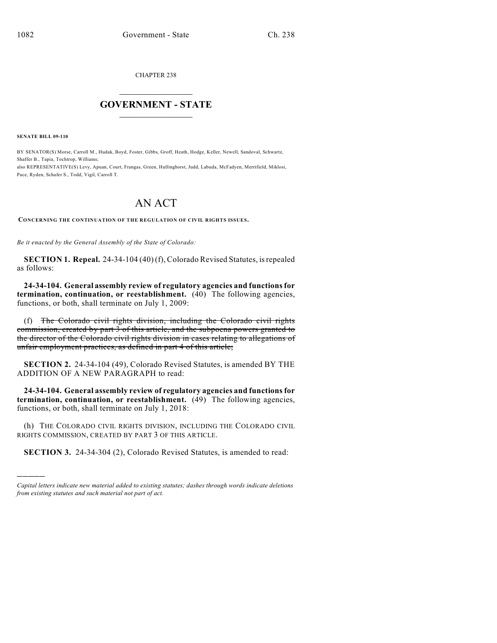CHAPTER 238

## $\mathcal{L}_\text{max}$  . The set of the set of the set of the set of the set of the set of the set of the set of the set of the set of the set of the set of the set of the set of the set of the set of the set of the set of the set **GOVERNMENT - STATE**  $\_$   $\_$   $\_$   $\_$   $\_$   $\_$   $\_$   $\_$   $\_$

**SENATE BILL 09-110**

)))))

BY SENATOR(S) Morse, Carroll M., Hudak, Boyd, Foster, Gibbs, Groff, Heath, Hodge, Keller, Newell, Sandoval, Schwartz, Shaffer B., Tapia, Tochtrop, Williams;

also REPRESENTATIVE(S) Levy, Apuan, Court, Frangas, Green, Hullinghorst, Judd, Labuda, McFadyen, Merrifield, Miklosi, Pace, Ryden, Schafer S., Todd, Vigil, Carroll T.

## AN ACT

**CONCERNING THE CONTINUATION OF THE REGULATION OF CIVIL RIGHTS ISSUES.**

*Be it enacted by the General Assembly of the State of Colorado:*

**SECTION 1. Repeal.** 24-34-104 (40) (f), Colorado Revised Statutes, is repealed as follows:

**24-34-104. General assembly review of regulatory agencies and functions for termination, continuation, or reestablishment.** (40) The following agencies, functions, or both, shall terminate on July 1, 2009:

(f) The Colorado civil rights division, including the Colorado civil rights commission, created by part 3 of this article, and the subpoena powers granted to the director of the Colorado civil rights division in cases relating to allegations of unfair employment practices, as defined in part 4 of this article;

**SECTION 2.** 24-34-104 (49), Colorado Revised Statutes, is amended BY THE ADDITION OF A NEW PARAGRAPH to read:

**24-34-104. General assembly review of regulatory agencies and functions for termination, continuation, or reestablishment.** (49) The following agencies, functions, or both, shall terminate on July 1, 2018:

(h) THE COLORADO CIVIL RIGHTS DIVISION, INCLUDING THE COLORADO CIVIL RIGHTS COMMISSION, CREATED BY PART 3 OF THIS ARTICLE.

**SECTION 3.** 24-34-304 (2), Colorado Revised Statutes, is amended to read:

*Capital letters indicate new material added to existing statutes; dashes through words indicate deletions from existing statutes and such material not part of act.*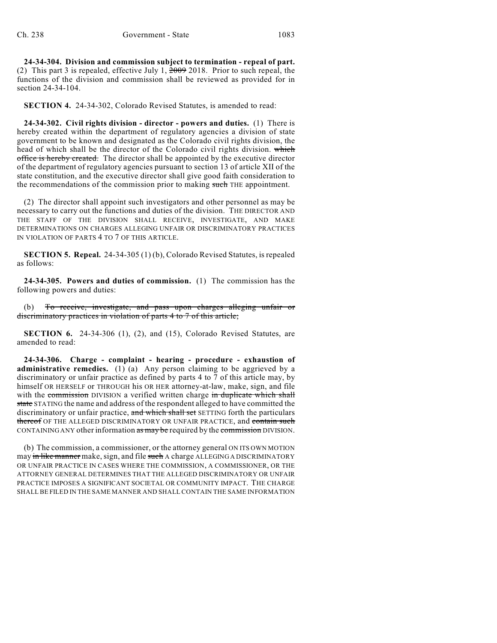**24-34-304. Division and commission subject to termination - repeal of part.** (2) This part 3 is repealed, effective July 1, 2009 2018. Prior to such repeal, the functions of the division and commission shall be reviewed as provided for in section 24-34-104.

**SECTION 4.** 24-34-302, Colorado Revised Statutes, is amended to read:

**24-34-302. Civil rights division - director - powers and duties.** (1) There is hereby created within the department of regulatory agencies a division of state government to be known and designated as the Colorado civil rights division, the head of which shall be the director of the Colorado civil rights division. which office is hereby created. The director shall be appointed by the executive director of the department of regulatory agencies pursuant to section 13 of article XII of the state constitution, and the executive director shall give good faith consideration to the recommendations of the commission prior to making such THE appointment.

(2) The director shall appoint such investigators and other personnel as may be necessary to carry out the functions and duties of the division. THE DIRECTOR AND THE STAFF OF THE DIVISION SHALL RECEIVE, INVESTIGATE, AND MAKE DETERMINATIONS ON CHARGES ALLEGING UNFAIR OR DISCRIMINATORY PRACTICES IN VIOLATION OF PARTS 4 TO 7 OF THIS ARTICLE.

**SECTION 5. Repeal.** 24-34-305 (1) (b), Colorado Revised Statutes, is repealed as follows:

**24-34-305. Powers and duties of commission.** (1) The commission has the following powers and duties:

(b) To receive, investigate, and pass upon charges alleging unfair or discriminatory practices in violation of parts 4 to 7 of this article;

**SECTION 6.** 24-34-306 (1), (2), and (15), Colorado Revised Statutes, are amended to read:

**24-34-306. Charge - complaint - hearing - procedure - exhaustion of administrative remedies.** (1) (a) Any person claiming to be aggrieved by a discriminatory or unfair practice as defined by parts 4 to 7 of this article may, by himself OR HERSELF or THROUGH his OR HER attorney-at-law, make, sign, and file with the commission DIVISION a verified written charge in duplicate which shall state STATING the name and address of the respondent alleged to have committed the discriminatory or unfair practice, and which shall set SETTING forth the particulars thereof OF THE ALLEGED DISCRIMINATORY OR UNFAIR PRACTICE, and contain such CONTAINING ANY other information as may be required by the commission DIVISION.

(b) The commission, a commissioner, or the attorney general ON ITS OWN MOTION may in like manner make, sign, and file such A charge ALLEGING A DISCRIMINATORY OR UNFAIR PRACTICE IN CASES WHERE THE COMMISSION, A COMMISSIONER, OR THE ATTORNEY GENERAL DETERMINES THAT THE ALLEGED DISCRIMINATORY OR UNFAIR PRACTICE IMPOSES A SIGNIFICANT SOCIETAL OR COMMUNITY IMPACT. THE CHARGE SHALL BE FILED IN THE SAME MANNER AND SHALL CONTAIN THE SAME INFORMATION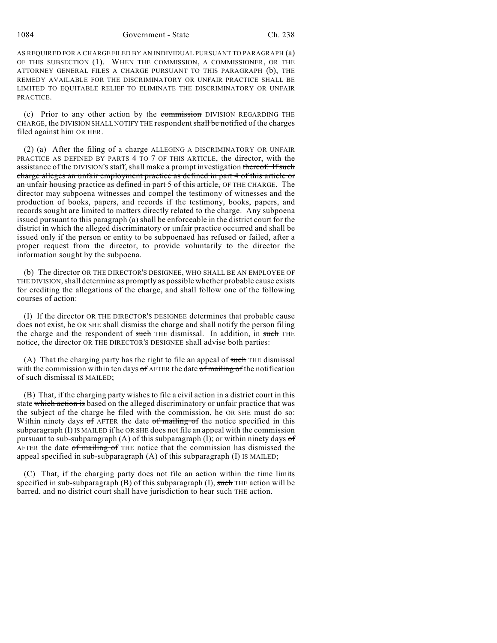1084 Government - State Ch. 238

AS REQUIRED FOR A CHARGE FILED BY AN INDIVIDUAL PURSUANT TO PARAGRAPH (a) OF THIS SUBSECTION (1). WHEN THE COMMISSION, A COMMISSIONER, OR THE ATTORNEY GENERAL FILES A CHARGE PURSUANT TO THIS PARAGRAPH (b), THE REMEDY AVAILABLE FOR THE DISCRIMINATORY OR UNFAIR PRACTICE SHALL BE LIMITED TO EQUITABLE RELIEF TO ELIMINATE THE DISCRIMINATORY OR UNFAIR PRACTICE.

(c) Prior to any other action by the commission DIVISION REGARDING THE CHARGE, the DIVISION SHALL NOTIFY THE respondent shall be notified of the charges filed against him OR HER.

(2) (a) After the filing of a charge ALLEGING A DISCRIMINATORY OR UNFAIR PRACTICE AS DEFINED BY PARTS 4 TO 7 OF THIS ARTICLE, the director, with the assistance of the DIVISION's staff, shall make a prompt investigation thereof. If such charge alleges an unfair employment practice as defined in part 4 of this article or an unfair housing practice as defined in part 5 of this article, OF THE CHARGE. The director may subpoena witnesses and compel the testimony of witnesses and the production of books, papers, and records if the testimony, books, papers, and records sought are limited to matters directly related to the charge. Any subpoena issued pursuant to this paragraph (a) shall be enforceable in the district court for the district in which the alleged discriminatory or unfair practice occurred and shall be issued only if the person or entity to be subpoenaed has refused or failed, after a proper request from the director, to provide voluntarily to the director the information sought by the subpoena.

(b) The director OR THE DIRECTOR'S DESIGNEE, WHO SHALL BE AN EMPLOYEE OF THE DIVISION, shall determine as promptly as possible whether probable cause exists for crediting the allegations of the charge, and shall follow one of the following courses of action:

(I) If the director OR THE DIRECTOR'S DESIGNEE determines that probable cause does not exist, he OR SHE shall dismiss the charge and shall notify the person filing the charge and the respondent of such THE dismissal. In addition, in such THE notice, the director OR THE DIRECTOR'S DESIGNEE shall advise both parties:

(A) That the charging party has the right to file an appeal of such THE dismissal with the commission within ten days  $\sigma f$  AFTER the date  $\sigma f$  mailing of the notification of such dismissal IS MAILED:

(B) That, if the charging party wishes to file a civil action in a district court in this state which action is based on the alleged discriminatory or unfair practice that was the subject of the charge he filed with the commission, he OR SHE must do so: Within ninety days  $\sigma f$  AFTER the date  $\sigma f$  mailing  $\sigma f$  the notice specified in this subparagraph (I) IS MAILED if he OR SHE does not file an appeal with the commission pursuant to sub-subparagraph (A) of this subparagraph (I); or within ninety days  $\sigma f$ AFTER the date of mailing of THE notice that the commission has dismissed the appeal specified in sub-subparagraph  $(A)$  of this subparagraph  $(I)$  IS MAILED;

(C) That, if the charging party does not file an action within the time limits specified in sub-subparagraph  $(B)$  of this subparagraph  $(I)$ , such THE action will be barred, and no district court shall have jurisdiction to hear such THE action.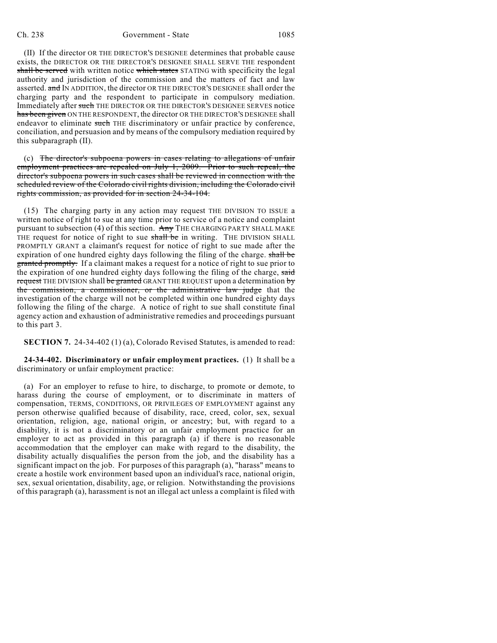## Ch. 238 Government - State 1085

(II) If the director OR THE DIRECTOR'S DESIGNEE determines that probable cause exists, the DIRECTOR OR THE DIRECTOR'S DESIGNEE SHALL SERVE THE respondent shall be served with written notice which states STATING with specificity the legal authority and jurisdiction of the commission and the matters of fact and law asserted. and IN ADDITION, the director OR THE DIRECTOR'S DESIGNEE shall order the charging party and the respondent to participate in compulsory mediation. Immediately after such THE DIRECTOR OR THE DIRECTOR'S DESIGNEE SERVES notice has been given ON THE RESPONDENT, the director OR THE DIRECTOR'S DESIGNEE shall endeavor to eliminate such THE discriminatory or unfair practice by conference, conciliation, and persuasion and by means of the compulsory mediation required by this subparagraph (II).

(c) The director's subpoena powers in cases relating to allegations of unfair employment practices are repealed on July 1, 2009. Prior to such repeal, the director's subpoena powers in such cases shall be reviewed in connection with the scheduled review of the Colorado civil rights division, including the Colorado civil rights commission, as provided for in section 24-34-104.

(15) The charging party in any action may request THE DIVISION TO ISSUE a written notice of right to sue at any time prior to service of a notice and complaint pursuant to subsection (4) of this section. Any THE CHARGING PARTY SHALL MAKE THE request for notice of right to sue shall be in writing. THE DIVISION SHALL PROMPTLY GRANT a claimant's request for notice of right to sue made after the expiration of one hundred eighty days following the filing of the charge. shall be granted promptly. If a claimant makes a request for a notice of right to sue prior to the expiration of one hundred eighty days following the filing of the charge, said request THE DIVISION shall be granted GRANT THE REQUEST upon a determination by the commission, a commissioner, or the administrative law judge that the investigation of the charge will not be completed within one hundred eighty days following the filing of the charge. A notice of right to sue shall constitute final agency action and exhaustion of administrative remedies and proceedings pursuant to this part 3.

**SECTION 7.** 24-34-402 (1) (a), Colorado Revised Statutes, is amended to read:

**24-34-402. Discriminatory or unfair employment practices.** (1) It shall be a discriminatory or unfair employment practice:

(a) For an employer to refuse to hire, to discharge, to promote or demote, to harass during the course of employment, or to discriminate in matters of compensation, TERMS, CONDITIONS, OR PRIVILEGES OF EMPLOYMENT against any person otherwise qualified because of disability, race, creed, color, sex, sexual orientation, religion, age, national origin, or ancestry; but, with regard to a disability, it is not a discriminatory or an unfair employment practice for an employer to act as provided in this paragraph (a) if there is no reasonable accommodation that the employer can make with regard to the disability, the disability actually disqualifies the person from the job, and the disability has a significant impact on the job. For purposes of this paragraph (a), "harass" means to create a hostile work environment based upon an individual's race, national origin, sex, sexual orientation, disability, age, or religion. Notwithstanding the provisions of this paragraph (a), harassment is not an illegal act unless a complaint is filed with